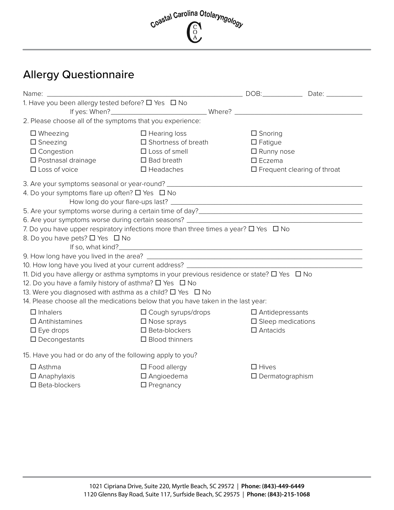# Coastal Carolina Otolaryngology  $\left(\begin{matrix} 0 \\ 0 \\ A \end{matrix}\right)$

# Allergy Questionnaire

|                                                                                                                                                                                                                                                                                                                   |                                                                                                                          | DOB:____________                                                                                                      |  |
|-------------------------------------------------------------------------------------------------------------------------------------------------------------------------------------------------------------------------------------------------------------------------------------------------------------------|--------------------------------------------------------------------------------------------------------------------------|-----------------------------------------------------------------------------------------------------------------------|--|
| 1. Have you been allergy tested before? □ Yes □ No                                                                                                                                                                                                                                                                |                                                                                                                          |                                                                                                                       |  |
|                                                                                                                                                                                                                                                                                                                   |                                                                                                                          |                                                                                                                       |  |
| 2. Please choose all of the symptoms that you experience:                                                                                                                                                                                                                                                         |                                                                                                                          |                                                                                                                       |  |
| $\Box$ Wheezing<br>$\square$ Sneezing<br>$\Box$ Congestion<br>□ Postnasal drainage<br>$\Box$ Loss of voice                                                                                                                                                                                                        | $\Box$ Hearing loss<br>$\square$ Shortness of breath<br>$\Box$ Loss of smell<br>$\square$ Bad breath<br>$\Box$ Headaches | $\square$ Snoring<br>$\square$ Fatigue<br>$\Box$ Runny nose<br>$\square$ Eczema<br>$\Box$ Frequent clearing of throat |  |
| 3. Are your symptoms seasonal or year-round? ___________________________________<br>4. Do your symptoms flare up often? $\Box$ Yes $\Box$ No                                                                                                                                                                      |                                                                                                                          |                                                                                                                       |  |
|                                                                                                                                                                                                                                                                                                                   |                                                                                                                          |                                                                                                                       |  |
|                                                                                                                                                                                                                                                                                                                   |                                                                                                                          |                                                                                                                       |  |
| 7. Do you have upper respiratory infections more than three times a year? $\Box$ Yes $\Box$ No<br>8. Do you have pets? □ Yes □ No                                                                                                                                                                                 |                                                                                                                          |                                                                                                                       |  |
|                                                                                                                                                                                                                                                                                                                   |                                                                                                                          |                                                                                                                       |  |
| 10. How long have you lived at your current address? ___________________________                                                                                                                                                                                                                                  |                                                                                                                          |                                                                                                                       |  |
| 11. Did you have allergy or asthma symptoms in your previous residence or state? □ Yes □ No<br>12. Do you have a family history of asthma? □ Yes □ No<br>13. Were you diagnosed with asthma as a child? $\Box$ Yes $\Box$ No<br>14. Please choose all the medications below that you have taken in the last year: |                                                                                                                          |                                                                                                                       |  |
| $\Box$ Inhalers<br>$\square$ Antihistamines<br>$\square$ Eye drops<br>$\Box$ Decongestants                                                                                                                                                                                                                        | $\Box$ Cough syrups/drops<br>$\Box$ Nose sprays<br>$\square$ Beta-blockers<br>$\square$ Blood thinners                   | $\Box$ Antidepressants<br>$\square$ Sleep medications<br>$\Box$ Antacids                                              |  |
| 15. Have you had or do any of the following apply to you?                                                                                                                                                                                                                                                         |                                                                                                                          |                                                                                                                       |  |
| $\square$ Asthma<br>$\Box$ Anaphylaxis<br>$\square$ Beta-blockers                                                                                                                                                                                                                                                 | $\square$ Food allergy<br>$\square$ Angioedema<br>$\Box$ Pregnancy                                                       | $\square$ Hives<br>$\Box$ Dermatographism                                                                             |  |